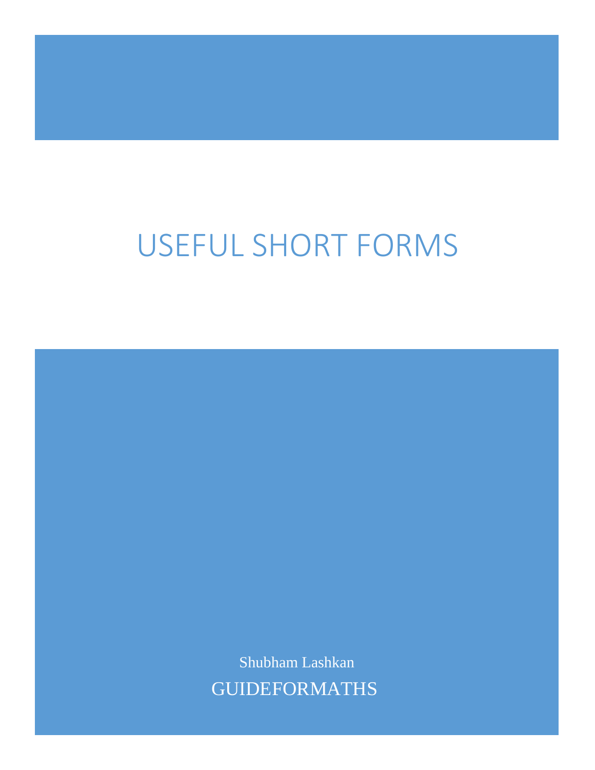## USEFUL SHORT FORMS

Shubham Lashkan GUIDEFORMATHS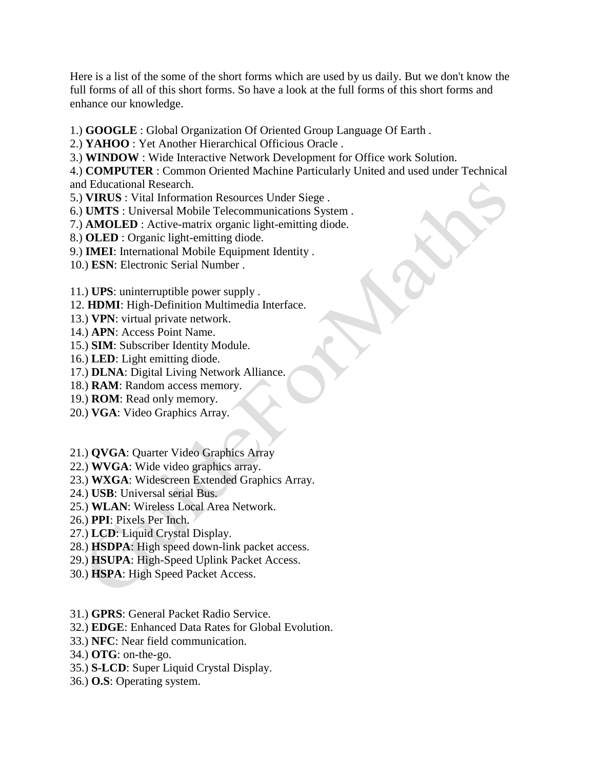Here is a list of the some of the short forms which are used by us daily. But we don't know the full forms of all of this short forms. So have a look at the full forms of this short forms and enhance our knowledge.

- 1.) **GOOGLE** : Global Organization Of Oriented Group Language Of Earth .
- 2.) **YAHOO** : Yet Another Hierarchical Officious Oracle .
- 3.) **WINDOW** : Wide Interactive Network Development for Office work Solution.

4.) **COMPUTER** : Common Oriented Machine Particularly United and used under Technical and Educational Research.

- 5.) **VIRUS** : Vital Information Resources Under Siege .
- 6.) **UMTS** : Universal Mobile Telecommunications System .
- 7.) **AMOLED** : Active-matrix organic light-emitting diode.
- 8.) **OLED** : Organic light-emitting diode.
- 9.) **IMEI**: International Mobile Equipment Identity .
- 10.) **ESN**: Electronic Serial Number .

11.) **UPS**: uninterruptible power supply .

- 12. **HDMI**: High-Definition Multimedia Interface.
- 13.) **VPN**: virtual private network.
- 14.) **APN**: Access Point Name.
- 15.) **SIM**: Subscriber Identity Module.
- 16.) **LED**: Light emitting diode.
- 17.) **DLNA**: Digital Living Network Alliance.
- 18.) **RAM**: Random access memory.
- 19.) **ROM**: Read only memory.
- 20.) **VGA**: Video Graphics Array.
- 21.) **QVGA**: Quarter Video Graphics Array
- 22.) **WVGA**: Wide video graphics array.
- 23.) **WXGA**: Widescreen Extended Graphics Array.
- 24.) **USB**: Universal serial Bus.
- 25.) **WLAN**: Wireless Local Area Network.
- 26.) **PPI**: Pixels Per Inch.
- 27.) **LCD**: Liquid Crystal Display.
- 28.) **HSDPA**: High speed down-link packet access.
- 29.) **HSUPA**: High-Speed Uplink Packet Access.
- 30.) **HSPA**: High Speed Packet Access.
- 31.) **GPRS**: General Packet Radio Service.
- 32.) **EDGE**: Enhanced Data Rates for Global Evolution.
- 33.) **NFC**: Near field communication.
- 34.) **OTG**: on-the-go.
- 35.) **S-LCD**: Super Liquid Crystal Display.
- 36.) **O.S**: Operating system.